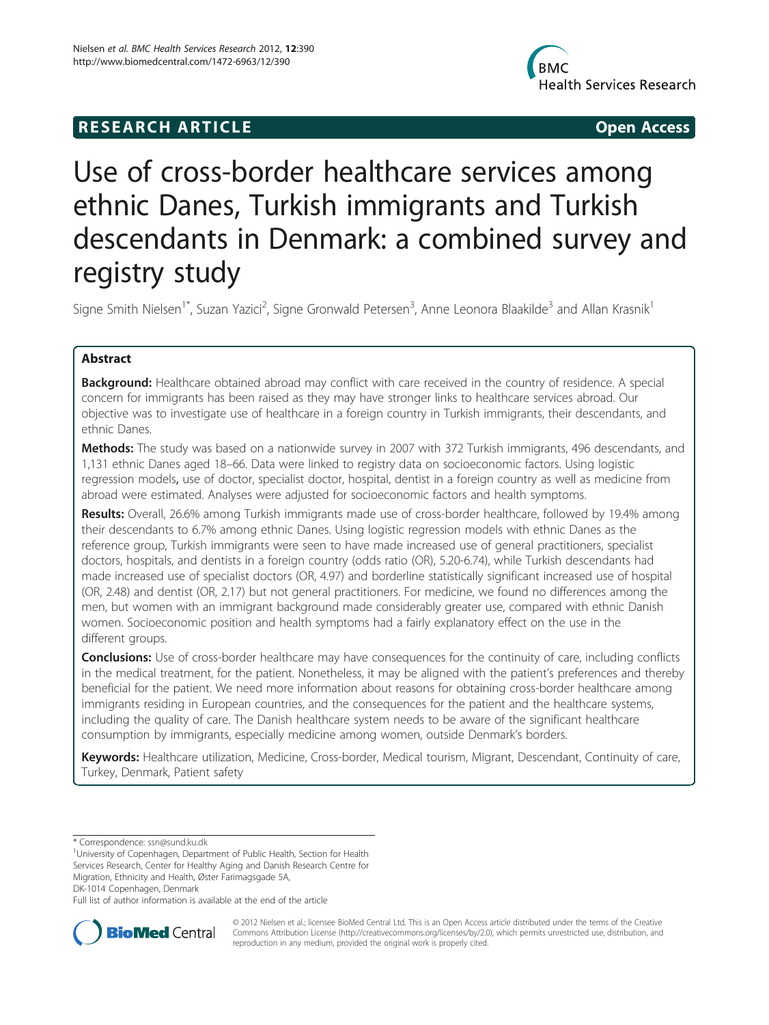## **RESEARCH ARTICLE Example 2018 12:00 Open Access**



# Use of cross-border healthcare services among ethnic Danes, Turkish immigrants and Turkish descendants in Denmark: a combined survey and registry study

Signe Smith Nielsen<sup>1\*</sup>, Suzan Yazici<sup>2</sup>, Signe Gronwald Petersen<sup>3</sup>, Anne Leonora Blaakilde<sup>3</sup> and Allan Krasnik<sup>1</sup>

## Abstract

**Background:** Healthcare obtained abroad may conflict with care received in the country of residence. A special concern for immigrants has been raised as they may have stronger links to healthcare services abroad. Our objective was to investigate use of healthcare in a foreign country in Turkish immigrants, their descendants, and ethnic Danes.

Methods: The study was based on a nationwide survey in 2007 with 372 Turkish immigrants, 496 descendants, and 1,131 ethnic Danes aged 18–66. Data were linked to registry data on socioeconomic factors. Using logistic regression models, use of doctor, specialist doctor, hospital, dentist in a foreign country as well as medicine from abroad were estimated. Analyses were adjusted for socioeconomic factors and health symptoms.

Results: Overall, 26.6% among Turkish immigrants made use of cross-border healthcare, followed by 19.4% among their descendants to 6.7% among ethnic Danes. Using logistic regression models with ethnic Danes as the reference group, Turkish immigrants were seen to have made increased use of general practitioners, specialist doctors, hospitals, and dentists in a foreign country (odds ratio (OR), 5.20-6.74), while Turkish descendants had made increased use of specialist doctors (OR, 4.97) and borderline statistically significant increased use of hospital (OR, 2.48) and dentist (OR, 2.17) but not general practitioners. For medicine, we found no differences among the men, but women with an immigrant background made considerably greater use, compared with ethnic Danish women. Socioeconomic position and health symptoms had a fairly explanatory effect on the use in the different groups.

**Conclusions:** Use of cross-border healthcare may have consequences for the continuity of care, including conflicts in the medical treatment, for the patient. Nonetheless, it may be aligned with the patient's preferences and thereby beneficial for the patient. We need more information about reasons for obtaining cross-border healthcare among immigrants residing in European countries, and the consequences for the patient and the healthcare systems, including the quality of care. The Danish healthcare system needs to be aware of the significant healthcare consumption by immigrants, especially medicine among women, outside Denmark's borders.

Keywords: Healthcare utilization, Medicine, Cross-border, Medical tourism, Migrant, Descendant, Continuity of care, Turkey, Denmark, Patient safety

\* Correspondence: [ssn@sund.ku.dk](mailto:ssn@sund.ku.dk) <sup>1</sup>

<sup>1</sup>University of Copenhagen, Department of Public Health, Section for Health Services Research, Center for Healthy Aging and Danish Research Centre for Migration, Ethnicity and Health, Øster Farimagsgade 5A,

DK-1014 Copenhagen, Denmark

Full list of author information is available at the end of the article



© 2012 Nielsen et al.; licensee BioMed Central Ltd. This is an Open Access article distributed under the terms of the Creative Commons Attribution License [\(http://creativecommons.org/licenses/by/2.0\)](http://creativecommons.org/licenses/by/2.0), which permits unrestricted use, distribution, and reproduction in any medium, provided the original work is properly cited.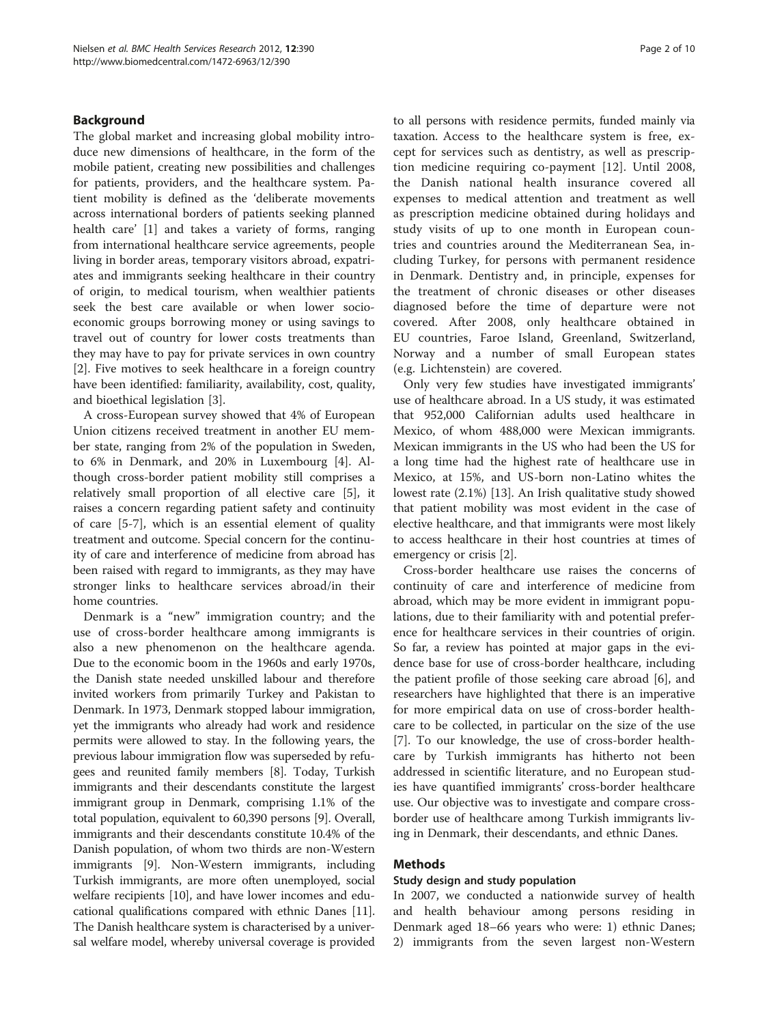## Background

The global market and increasing global mobility introduce new dimensions of healthcare, in the form of the mobile patient, creating new possibilities and challenges for patients, providers, and the healthcare system. Patient mobility is defined as the 'deliberate movements across international borders of patients seeking planned health care' [\[1](#page-9-0)] and takes a variety of forms, ranging from international healthcare service agreements, people living in border areas, temporary visitors abroad, expatriates and immigrants seeking healthcare in their country of origin, to medical tourism, when wealthier patients seek the best care available or when lower socioeconomic groups borrowing money or using savings to travel out of country for lower costs treatments than they may have to pay for private services in own country [[2\]](#page-9-0). Five motives to seek healthcare in a foreign country have been identified: familiarity, availability, cost, quality, and bioethical legislation [[3](#page-9-0)].

A cross-European survey showed that 4% of European Union citizens received treatment in another EU member state, ranging from 2% of the population in Sweden, to 6% in Denmark, and 20% in Luxembourg [\[4\]](#page-9-0). Although cross-border patient mobility still comprises a relatively small proportion of all elective care [[5\]](#page-9-0), it raises a concern regarding patient safety and continuity of care [[5](#page-9-0)-[7\]](#page-9-0), which is an essential element of quality treatment and outcome. Special concern for the continuity of care and interference of medicine from abroad has been raised with regard to immigrants, as they may have stronger links to healthcare services abroad/in their home countries.

Denmark is a "new" immigration country; and the use of cross-border healthcare among immigrants is also a new phenomenon on the healthcare agenda. Due to the economic boom in the 1960s and early 1970s, the Danish state needed unskilled labour and therefore invited workers from primarily Turkey and Pakistan to Denmark. In 1973, Denmark stopped labour immigration, yet the immigrants who already had work and residence permits were allowed to stay. In the following years, the previous labour immigration flow was superseded by refugees and reunited family members [\[8\]](#page-9-0). Today, Turkish immigrants and their descendants constitute the largest immigrant group in Denmark, comprising 1.1% of the total population, equivalent to 60,390 persons [\[9](#page-9-0)]. Overall, immigrants and their descendants constitute 10.4% of the Danish population, of whom two thirds are non-Western immigrants [\[9](#page-9-0)]. Non-Western immigrants, including Turkish immigrants, are more often unemployed, social welfare recipients [\[10\]](#page-9-0), and have lower incomes and educational qualifications compared with ethnic Danes [[11](#page-9-0)]. The Danish healthcare system is characterised by a universal welfare model, whereby universal coverage is provided

to all persons with residence permits, funded mainly via taxation. Access to the healthcare system is free, except for services such as dentistry, as well as prescription medicine requiring co-payment [[12\]](#page-9-0). Until 2008, the Danish national health insurance covered all expenses to medical attention and treatment as well as prescription medicine obtained during holidays and study visits of up to one month in European countries and countries around the Mediterranean Sea, including Turkey, for persons with permanent residence in Denmark. Dentistry and, in principle, expenses for the treatment of chronic diseases or other diseases diagnosed before the time of departure were not covered. After 2008, only healthcare obtained in EU countries, Faroe Island, Greenland, Switzerland, Norway and a number of small European states (e.g. Lichtenstein) are covered.

Only very few studies have investigated immigrants' use of healthcare abroad. In a US study, it was estimated that 952,000 Californian adults used healthcare in Mexico, of whom 488,000 were Mexican immigrants. Mexican immigrants in the US who had been the US for a long time had the highest rate of healthcare use in Mexico, at 15%, and US-born non-Latino whites the lowest rate (2.1%) [\[13](#page-9-0)]. An Irish qualitative study showed that patient mobility was most evident in the case of elective healthcare, and that immigrants were most likely to access healthcare in their host countries at times of emergency or crisis [\[2](#page-9-0)].

Cross-border healthcare use raises the concerns of continuity of care and interference of medicine from abroad, which may be more evident in immigrant populations, due to their familiarity with and potential preference for healthcare services in their countries of origin. So far, a review has pointed at major gaps in the evidence base for use of cross-border healthcare, including the patient profile of those seeking care abroad [[6\]](#page-9-0), and researchers have highlighted that there is an imperative for more empirical data on use of cross-border healthcare to be collected, in particular on the size of the use [[7\]](#page-9-0). To our knowledge, the use of cross-border healthcare by Turkish immigrants has hitherto not been addressed in scientific literature, and no European studies have quantified immigrants' cross-border healthcare use. Our objective was to investigate and compare crossborder use of healthcare among Turkish immigrants living in Denmark, their descendants, and ethnic Danes.

## Methods

## Study design and study population

In 2007, we conducted a nationwide survey of health and health behaviour among persons residing in Denmark aged 18–66 years who were: 1) ethnic Danes; 2) immigrants from the seven largest non-Western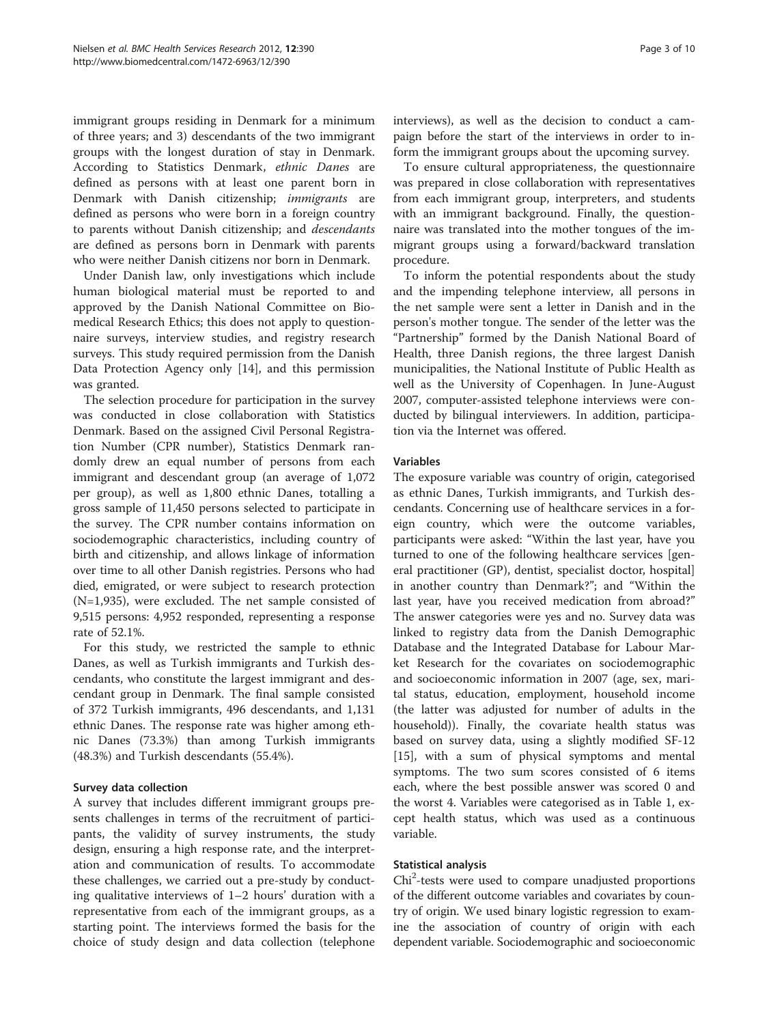immigrant groups residing in Denmark for a minimum of three years; and 3) descendants of the two immigrant groups with the longest duration of stay in Denmark. According to Statistics Denmark, ethnic Danes are defined as persons with at least one parent born in Denmark with Danish citizenship; immigrants are defined as persons who were born in a foreign country to parents without Danish citizenship; and descendants are defined as persons born in Denmark with parents who were neither Danish citizens nor born in Denmark.

Under Danish law, only investigations which include human biological material must be reported to and approved by the Danish National Committee on Biomedical Research Ethics; this does not apply to questionnaire surveys, interview studies, and registry research surveys. This study required permission from the Danish Data Protection Agency only [\[14](#page-9-0)], and this permission was granted.

The selection procedure for participation in the survey was conducted in close collaboration with Statistics Denmark. Based on the assigned Civil Personal Registration Number (CPR number), Statistics Denmark randomly drew an equal number of persons from each immigrant and descendant group (an average of 1,072 per group), as well as 1,800 ethnic Danes, totalling a gross sample of 11,450 persons selected to participate in the survey. The CPR number contains information on sociodemographic characteristics, including country of birth and citizenship, and allows linkage of information over time to all other Danish registries. Persons who had died, emigrated, or were subject to research protection (N=1,935), were excluded. The net sample consisted of 9,515 persons: 4,952 responded, representing a response rate of 52.1%.

For this study, we restricted the sample to ethnic Danes, as well as Turkish immigrants and Turkish descendants, who constitute the largest immigrant and descendant group in Denmark. The final sample consisted of 372 Turkish immigrants, 496 descendants, and 1,131 ethnic Danes. The response rate was higher among ethnic Danes (73.3%) than among Turkish immigrants (48.3%) and Turkish descendants (55.4%).

## Survey data collection

A survey that includes different immigrant groups presents challenges in terms of the recruitment of participants, the validity of survey instruments, the study design, ensuring a high response rate, and the interpretation and communication of results. To accommodate these challenges, we carried out a pre-study by conducting qualitative interviews of 1–2 hours' duration with a representative from each of the immigrant groups, as a starting point. The interviews formed the basis for the choice of study design and data collection (telephone interviews), as well as the decision to conduct a campaign before the start of the interviews in order to inform the immigrant groups about the upcoming survey.

To ensure cultural appropriateness, the questionnaire was prepared in close collaboration with representatives from each immigrant group, interpreters, and students with an immigrant background. Finally, the questionnaire was translated into the mother tongues of the immigrant groups using a forward/backward translation procedure.

To inform the potential respondents about the study and the impending telephone interview, all persons in the net sample were sent a letter in Danish and in the person's mother tongue. The sender of the letter was the "Partnership" formed by the Danish National Board of Health, three Danish regions, the three largest Danish municipalities, the National Institute of Public Health as well as the University of Copenhagen. In June-August 2007, computer-assisted telephone interviews were conducted by bilingual interviewers. In addition, participation via the Internet was offered.

#### Variables

The exposure variable was country of origin, categorised as ethnic Danes, Turkish immigrants, and Turkish descendants. Concerning use of healthcare services in a foreign country, which were the outcome variables, participants were asked: "Within the last year, have you turned to one of the following healthcare services [general practitioner (GP), dentist, specialist doctor, hospital] in another country than Denmark?"; and "Within the last year, have you received medication from abroad?" The answer categories were yes and no. Survey data was linked to registry data from the Danish Demographic Database and the Integrated Database for Labour Market Research for the covariates on sociodemographic and socioeconomic information in 2007 (age, sex, marital status, education, employment, household income (the latter was adjusted for number of adults in the household)). Finally, the covariate health status was based on survey data, using a slightly modified SF-12 [[15\]](#page-9-0), with a sum of physical symptoms and mental symptoms. The two sum scores consisted of 6 items each, where the best possible answer was scored 0 and the worst 4. Variables were categorised as in Table [1,](#page-3-0) except health status, which was used as a continuous variable.

#### Statistical analysis

Chi2 -tests were used to compare unadjusted proportions of the different outcome variables and covariates by country of origin. We used binary logistic regression to examine the association of country of origin with each dependent variable. Sociodemographic and socioeconomic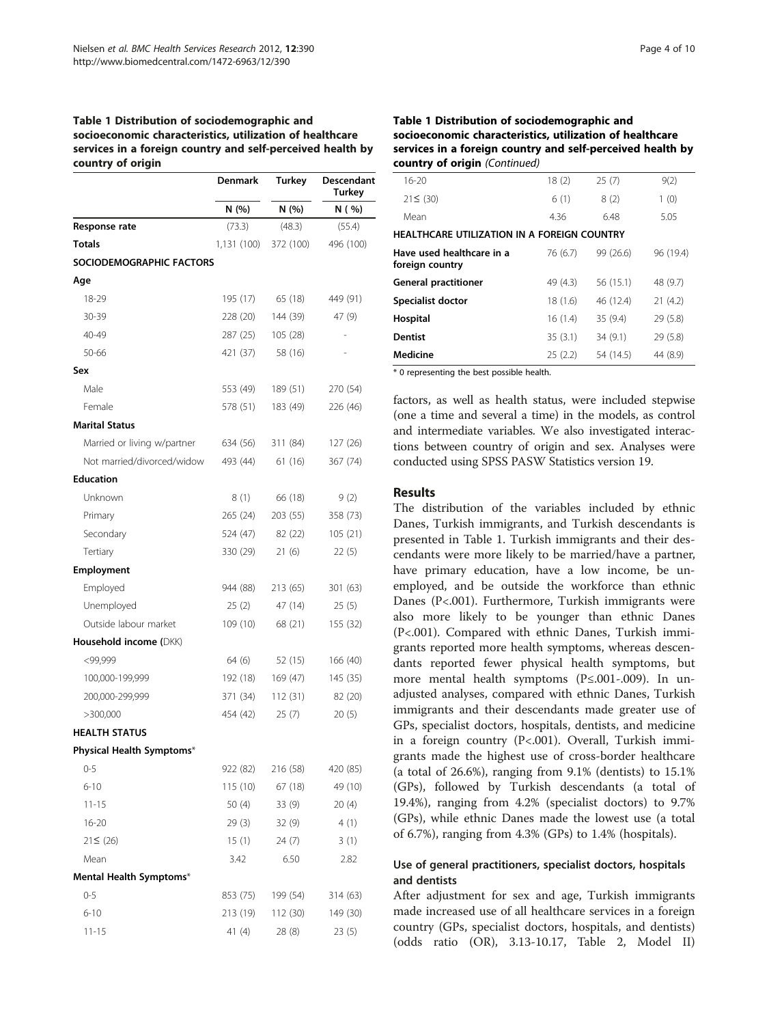## <span id="page-3-0"></span>Table 1 Distribution of sociodemographic and socioeconomic characteristics, utilization of healthcare services in a foreign country and self-perceived health by country of origin

|                             | Denmark     | <b>Turkey</b> | Descendant<br>Turkey |
|-----------------------------|-------------|---------------|----------------------|
|                             | N (%)       | N (%)         | N (%)                |
| Response rate               | (73.3)      | (48.3)        | (55.4)               |
| <b>Totals</b>               | 1,131 (100) | 372 (100)     | 496 (100)            |
| SOCIODEMOGRAPHIC FACTORS    |             |               |                      |
| Age                         |             |               |                      |
| 18-29                       | 195 (17)    | 65 (18)       | 449 (91)             |
| 30-39                       | 228 (20)    | 144 (39)      | 47 (9)               |
| 40-49                       | 287 (25)    | 105 (28)      |                      |
| 50-66                       | 421 (37)    | 58 (16)       |                      |
| Sex                         |             |               |                      |
| Male                        | 553 (49)    | 189 (51)      | 270 (54)             |
| Female                      | 578 (51)    | 183 (49)      | 226 (46)             |
| <b>Marital Status</b>       |             |               |                      |
| Married or living w/partner | 634 (56)    | 311 (84)      | 127 (26)             |
| Not married/divorced/widow  | 493 (44)    | 61 (16)       | 367 (74)             |
| <b>Education</b>            |             |               |                      |
| Unknown                     | 8(1)        | 66 (18)       | 9(2)                 |
| Primary                     | 265 (24)    | 203 (55)      | 358 (73)             |
| Secondary                   | 524 (47)    | 82 (22)       | 105 (21)             |
| Tertiary                    | 330 (29)    | 21(6)         | 22(5)                |
| Employment                  |             |               |                      |
| Employed                    | 944 (88)    | 213 (65)      | 301 (63)             |
| Unemployed                  | 25(2)       | 47 (14)       | 25(5)                |
| Outside labour market       | 109 (10)    | 68 (21)       | 155 (32)             |
| Household income (DKK)      |             |               |                      |
| $<$ 99,999                  | 64 (6)      | 52 (15)       | 166 (40)             |
| 100,000-199,999             | 192 (18)    | 169 (47)      | 145 (35)             |
| 200,000-299,999             | 371 (34)    | 112 (31)      | 82 (20)              |
| >300,000                    | 454 (42)    | 25(7)         | 20(5)                |
| <b>HEALTH STATUS</b>        |             |               |                      |
| Physical Health Symptoms*   |             |               |                      |
| $0 - 5$                     | 922 (82)    | 216 (58)      | 420 (85)             |
| $6 - 10$                    | 115 (10)    | 67 (18)       | 49 (10)              |
| $11 - 15$                   | 50 $(4)$    | 33(9)         | 20(4)                |
| $16 - 20$                   | 29(3)       | 32(9)         | 4(1)                 |
| $21 \le (26)$               | 15(1)       | 24 (7)        | 3(1)                 |
| Mean                        | 3.42        | 6.50          | 2.82                 |
| Mental Health Symptoms*     |             |               |                      |
| $0 - 5$                     | 853 (75)    | 199 (54)      | 314 (63)             |
| $6 - 10$                    | 213 (19)    | 112 (30)      | 149 (30)             |
| $11 - 15$                   | 41(4)       | 28(8)         | 23(5)                |

#### Table 1 Distribution of sociodemographic and socioeconomic characteristics, utilization of healthcare services in a foreign country and self-perceived health by country of origin (Continued)

| $\frac{1}{2}$                                |          |           |           |  |  |  |  |  |  |
|----------------------------------------------|----------|-----------|-----------|--|--|--|--|--|--|
| $16 - 20$                                    | 18(2)    | 25(7)     | 9(2)      |  |  |  |  |  |  |
| $21 \leq (30)$                               | 6(1)     | 8(2)      | 1(0)      |  |  |  |  |  |  |
| Mean                                         | 4.36     | 6.48      | 5.05      |  |  |  |  |  |  |
| HEALTHCARE UTILIZATION IN A FOREIGN COUNTRY  |          |           |           |  |  |  |  |  |  |
| Have used healthcare in a<br>foreign country | 76 (6.7) | 99 (26.6) | 96 (19.4) |  |  |  |  |  |  |
| <b>General practitioner</b>                  | 49 (4.3) | 56 (15.1) | 48 (9.7)  |  |  |  |  |  |  |
| Specialist doctor                            | 18(1.6)  | 46 (12.4) | 21(4.2)   |  |  |  |  |  |  |
| Hospital                                     | 16(1.4)  | 35(9.4)   | 29 (5.8)  |  |  |  |  |  |  |
| <b>Dentist</b>                               | 35(3.1)  | 34 (9.1)  | 29 (5.8)  |  |  |  |  |  |  |
| Medicine                                     | 25(2.2)  | 54 (14.5) | 44 (8.9)  |  |  |  |  |  |  |
|                                              |          |           |           |  |  |  |  |  |  |

\* 0 representing the best possible health.

factors, as well as health status, were included stepwise (one a time and several a time) in the models, as control and intermediate variables. We also investigated interactions between country of origin and sex. Analyses were conducted using SPSS PASW Statistics version 19.

#### Results

The distribution of the variables included by ethnic Danes, Turkish immigrants, and Turkish descendants is presented in Table 1. Turkish immigrants and their descendants were more likely to be married/have a partner, have primary education, have a low income, be unemployed, and be outside the workforce than ethnic Danes (P<.001). Furthermore, Turkish immigrants were also more likely to be younger than ethnic Danes (P<.001). Compared with ethnic Danes, Turkish immigrants reported more health symptoms, whereas descendants reported fewer physical health symptoms, but more mental health symptoms (P≤.001-.009). In unadjusted analyses, compared with ethnic Danes, Turkish immigrants and their descendants made greater use of GPs, specialist doctors, hospitals, dentists, and medicine in a foreign country (P<.001). Overall, Turkish immigrants made the highest use of cross-border healthcare (a total of 26.6%), ranging from 9.1% (dentists) to 15.1% (GPs), followed by Turkish descendants (a total of 19.4%), ranging from 4.2% (specialist doctors) to 9.7% (GPs), while ethnic Danes made the lowest use (a total of 6.7%), ranging from 4.3% (GPs) to 1.4% (hospitals).

## Use of general practitioners, specialist doctors, hospitals and dentists

After adjustment for sex and age, Turkish immigrants made increased use of all healthcare services in a foreign country (GPs, specialist doctors, hospitals, and dentists) (odds ratio (OR), 3.13-10.17, Table [2,](#page-4-0) Model II)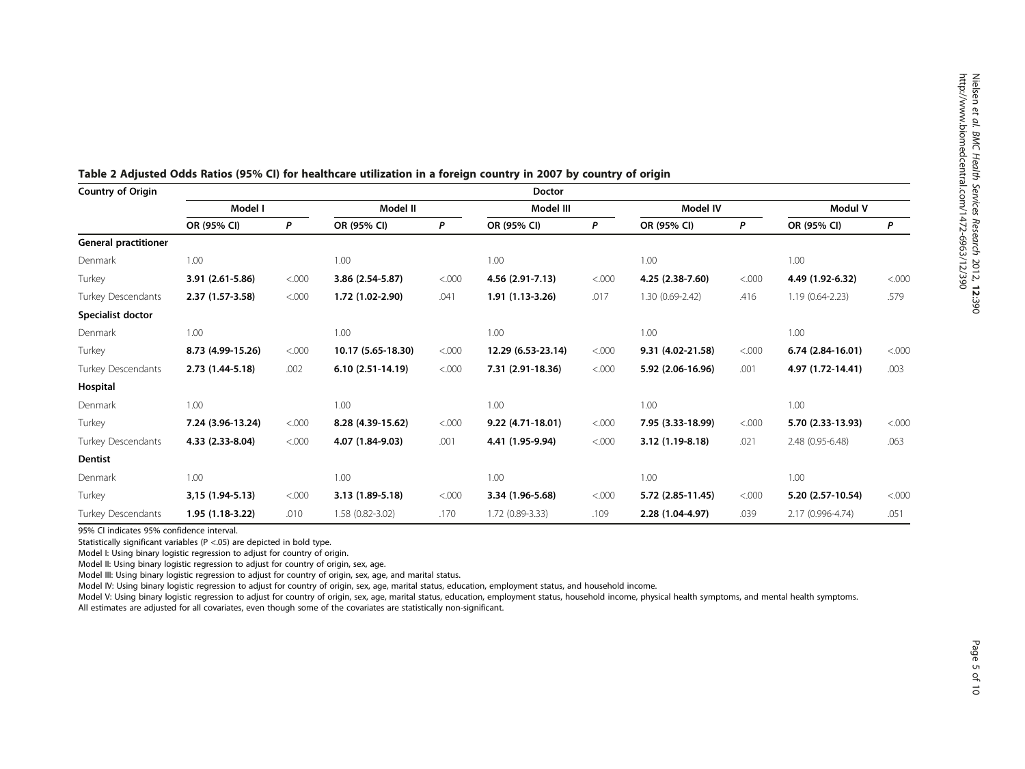| <b>Country of Origin</b>    | <b>Doctor</b>     |                    |                    |                    |                    |                    |                   |                    |                   |        |
|-----------------------------|-------------------|--------------------|--------------------|--------------------|--------------------|--------------------|-------------------|--------------------|-------------------|--------|
|                             | Model I           |                    | Model II           |                    | Model III          |                    | Model IV          |                    | Modul V           |        |
|                             | OR (95% CI)       | P                  | OR (95% CI)        | P                  | OR (95% CI)        | P                  | OR (95% CI)       | P                  | OR (95% CI)       | P      |
| <b>General practitioner</b> |                   |                    |                    |                    |                    |                    |                   |                    |                   |        |
| Denmark                     | 1.00              |                    | 1.00               |                    | 1.00               |                    | 1.00              |                    | 1.00              |        |
| Turkey                      | 3.91 (2.61-5.86)  | 000.               | 3.86 (2.54-5.87)   | &000.<br>          | 4.56 (2.91-7.13)   | &000. <sub>2</sub> | 4.25 (2.38-7.60)  | $&000\\$           | 4.49 (1.92-6.32)  | < .000 |
| Turkey Descendants          | 2.37 (1.57-3.58)  | &000.<br>          | 1.72 (1.02-2.90)   | .041               | $1.91(1.13-3.26)$  | .017               | 1.30 (0.69-2.42)  | .416               | $1.19(0.64-2.23)$ | .579   |
| Specialist doctor           |                   |                    |                    |                    |                    |                    |                   |                    |                   |        |
| Denmark                     | 1.00              |                    | 1.00               |                    | 1.00               |                    | 1.00              |                    | 1.00              |        |
| Turkey                      | 8.73 (4.99-15.26) | 000.               | 10.17 (5.65-18.30) | &000. <sup>2</sup> | 12.29 (6.53-23.14) | &000. <sub>2</sub> | 9.31 (4.02-21.58) | $&000\\$           | 6.74 (2.84-16.01) | < .000 |
| Turkey Descendants          | 2.73 (1.44-5.18)  | .002               | $6.10(2.51-14.19)$ | &000.<br>          | 7.31 (2.91-18.36)  | &000. <sub>2</sub> | 5.92 (2.06-16.96) | .001               | 4.97 (1.72-14.41) | .003   |
| Hospital                    |                   |                    |                    |                    |                    |                    |                   |                    |                   |        |
| Denmark                     | 1.00              |                    | 1.00               |                    | 1.00               |                    | 1.00              |                    | 1.00              |        |
| Turkey                      | 7.24 (3.96-13.24) | 000.               | 8.28 (4.39-15.62)  | &000.<br>          | 9.22 (4.71-18.01)  | &000. <sub>2</sub> | 7.95 (3.33-18.99) | $&000\\$           | 5.70 (2.33-13.93) | &000   |
| Turkey Descendants          | 4.33 (2.33-8.04)  | &000. <sub>0</sub> | 4.07 (1.84-9.03)   | .001               | 4.41 (1.95-9.94)   | &000. <sub>2</sub> | 3.12 (1.19-8.18)  | .021               | 2.48 (0.95-6.48)  | .063   |
| <b>Dentist</b>              |                   |                    |                    |                    |                    |                    |                   |                    |                   |        |
| Denmark                     | 1.00              |                    | 1.00               |                    | 1.00               |                    | 1.00              |                    | 1.00              |        |
| Turkey                      | 3,15 (1.94-5.13)  | &000               | 3.13 (1.89-5.18)   | 000.               | 3.34 (1.96-5.68)   | &000.<br>          | 5.72 (2.85-11.45) | &000. <sup>2</sup> | 5.20 (2.57-10.54) | < .000 |
| Turkey Descendants          | 1.95 (1.18-3.22)  | .010               | 1.58 (0.82-3.02)   | .170               | 1.72 (0.89-3.33)   | .109               | 2.28 (1.04-4.97)  | .039               | 2.17 (0.996-4.74) | .051   |

<span id="page-4-0"></span>Table 2 Adjusted Odds Ratios (95% CI) for healthcare utilization in a foreign country in 2007 by country of origin

95% CI indicates 95% confidence interval.

Statistically significant variables (P <.05) are depicted in bold type.

Model I: Using binary logistic regression to adjust for country of origin.

Model II: Using binary logistic regression to adjust for country of origin, sex, age.

Model III: Using binary logistic regression to adjust for country of origin, sex, age, and marital status.

Model IV: Using binary logistic regression to adjust for country of origin, sex, age, marital status, education, employment status, and household income.

Model V: Using binary logistic regression to adjust for country of origin, sex, age, marital status, education, employment status, household income, physical health symptoms, and mental health symptoms. All estimates are adjusted for all covariates, even though some of the covariates are statistically non-significant.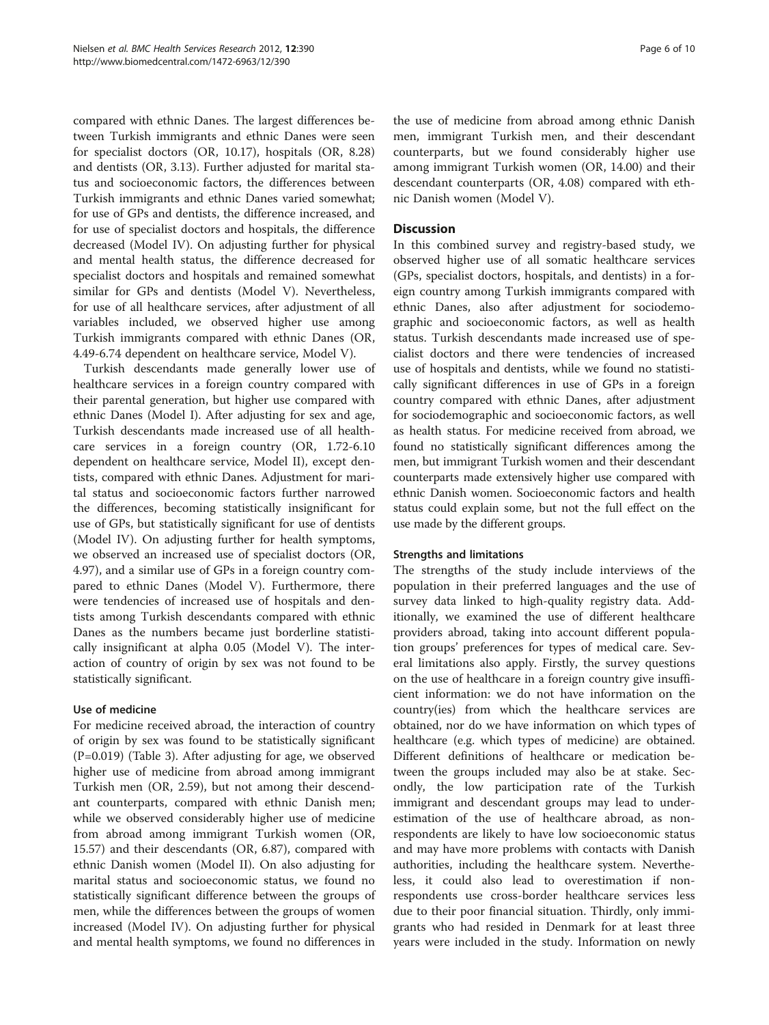compared with ethnic Danes. The largest differences between Turkish immigrants and ethnic Danes were seen for specialist doctors (OR, 10.17), hospitals (OR, 8.28) and dentists (OR, 3.13). Further adjusted for marital status and socioeconomic factors, the differences between Turkish immigrants and ethnic Danes varied somewhat; for use of GPs and dentists, the difference increased, and for use of specialist doctors and hospitals, the difference decreased (Model IV). On adjusting further for physical and mental health status, the difference decreased for specialist doctors and hospitals and remained somewhat similar for GPs and dentists (Model V). Nevertheless, for use of all healthcare services, after adjustment of all variables included, we observed higher use among Turkish immigrants compared with ethnic Danes (OR, 4.49-6.74 dependent on healthcare service, Model V).

Turkish descendants made generally lower use of healthcare services in a foreign country compared with their parental generation, but higher use compared with ethnic Danes (Model I). After adjusting for sex and age, Turkish descendants made increased use of all healthcare services in a foreign country (OR, 1.72-6.10 dependent on healthcare service, Model II), except dentists, compared with ethnic Danes. Adjustment for marital status and socioeconomic factors further narrowed the differences, becoming statistically insignificant for use of GPs, but statistically significant for use of dentists (Model IV). On adjusting further for health symptoms, we observed an increased use of specialist doctors (OR, 4.97), and a similar use of GPs in a foreign country compared to ethnic Danes (Model V). Furthermore, there were tendencies of increased use of hospitals and dentists among Turkish descendants compared with ethnic Danes as the numbers became just borderline statistically insignificant at alpha 0.05 (Model V). The interaction of country of origin by sex was not found to be statistically significant.

## Use of medicine

For medicine received abroad, the interaction of country of origin by sex was found to be statistically significant (P=0.019) (Table [3\)](#page-6-0). After adjusting for age, we observed higher use of medicine from abroad among immigrant Turkish men (OR, 2.59), but not among their descendant counterparts, compared with ethnic Danish men; while we observed considerably higher use of medicine from abroad among immigrant Turkish women (OR, 15.57) and their descendants (OR, 6.87), compared with ethnic Danish women (Model II). On also adjusting for marital status and socioeconomic status, we found no statistically significant difference between the groups of men, while the differences between the groups of women increased (Model IV). On adjusting further for physical and mental health symptoms, we found no differences in

the use of medicine from abroad among ethnic Danish men, immigrant Turkish men, and their descendant counterparts, but we found considerably higher use among immigrant Turkish women (OR, 14.00) and their descendant counterparts (OR, 4.08) compared with ethnic Danish women (Model V).

## **Discussion**

In this combined survey and registry-based study, we observed higher use of all somatic healthcare services (GPs, specialist doctors, hospitals, and dentists) in a foreign country among Turkish immigrants compared with ethnic Danes, also after adjustment for sociodemographic and socioeconomic factors, as well as health status. Turkish descendants made increased use of specialist doctors and there were tendencies of increased use of hospitals and dentists, while we found no statistically significant differences in use of GPs in a foreign country compared with ethnic Danes, after adjustment for sociodemographic and socioeconomic factors, as well as health status. For medicine received from abroad, we found no statistically significant differences among the men, but immigrant Turkish women and their descendant counterparts made extensively higher use compared with ethnic Danish women. Socioeconomic factors and health status could explain some, but not the full effect on the use made by the different groups.

## Strengths and limitations

The strengths of the study include interviews of the population in their preferred languages and the use of survey data linked to high-quality registry data. Additionally, we examined the use of different healthcare providers abroad, taking into account different population groups' preferences for types of medical care. Several limitations also apply. Firstly, the survey questions on the use of healthcare in a foreign country give insufficient information: we do not have information on the country(ies) from which the healthcare services are obtained, nor do we have information on which types of healthcare (e.g. which types of medicine) are obtained. Different definitions of healthcare or medication between the groups included may also be at stake. Secondly, the low participation rate of the Turkish immigrant and descendant groups may lead to underestimation of the use of healthcare abroad, as nonrespondents are likely to have low socioeconomic status and may have more problems with contacts with Danish authorities, including the healthcare system. Nevertheless, it could also lead to overestimation if nonrespondents use cross-border healthcare services less due to their poor financial situation. Thirdly, only immigrants who had resided in Denmark for at least three years were included in the study. Information on newly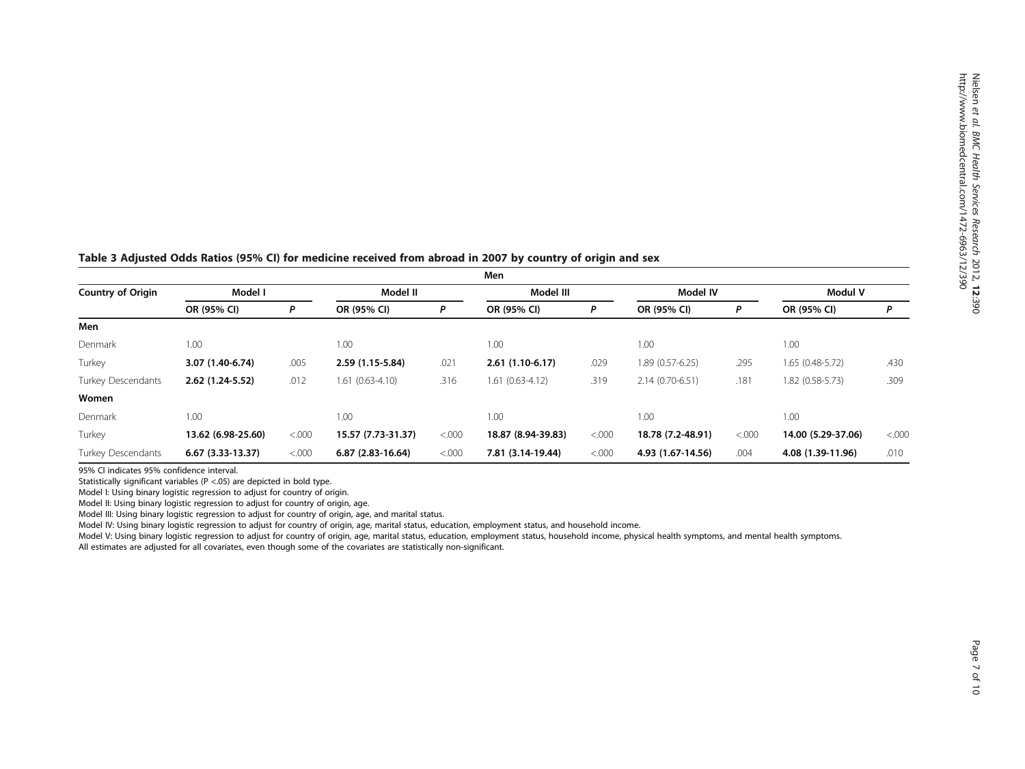| Men                       |                       |                    |                     |                    |                    |                    |                   |      |                    |        |
|---------------------------|-----------------------|--------------------|---------------------|--------------------|--------------------|--------------------|-------------------|------|--------------------|--------|
| <b>Country of Origin</b>  | Model I               |                    | Model II            |                    | Model III          |                    | Model IV          |      | Modul V            |        |
|                           | OR (95% CI)           |                    | OR (95% CI)         |                    | OR (95% CI)        | P                  | OR (95% CI)       | P    | OR (95% CI)        | P      |
| Men                       |                       |                    |                     |                    |                    |                    |                   |      |                    |        |
| Denmark                   | 1.00                  |                    | 1.00                |                    | 1.00               |                    | 1.00              |      | 1.00               |        |
| Turkey                    | 3.07 (1.40-6.74)      | .005               | 2.59 (1.15-5.84)    | .021               | $2.61(1.10-6.17)$  | .029               | 1.89 (0.57-6.25)  | .295 | 1.65 (0.48-5.72)   | .430   |
| <b>Turkey Descendants</b> | 2.62 (1.24-5.52)      | .012               | $1.61(0.63 - 4.10)$ | .316               | $1.61(0.63-4.12)$  | .319               | 2.14 (0.70-6.51)  | .181 | 1.82 (0.58-5.73)   | .309   |
| Women                     |                       |                    |                     |                    |                    |                    |                   |      |                    |        |
| Denmark                   | 1.00                  |                    | 1.00                |                    | 1.00               |                    | 1.00              |      | 1.00               |        |
| Turkey                    | 13.62 (6.98-25.60)    | &000. <sub>2</sub> | 15.57 (7.73-31.37)  | &000. <sub>2</sub> | 18.87 (8.94-39.83) | &000.<             | 18.78 (7.2-48.91) | 000. | 14.00 (5.29-37.06) | < .000 |
| <b>Turkey Descendants</b> | $6.67$ $(3.33-13.37)$ | &000               | $6.87(2.83-16.64)$  | &000. <sub>2</sub> | 7.81 (3.14-19.44)  | &000. <sub>2</sub> | 4.93 (1.67-14.56) | .004 | 4.08 (1.39-11.96)  | .010   |
|                           |                       |                    |                     |                    |                    |                    |                   |      |                    |        |

<span id="page-6-0"></span>Table 3 Adjusted Odds Ratios (95% CI) for medicine received from abroad in 2007 by country of origin and sex

95% CI indicates 95% confidence interval.

Statistically significant variables ( $P < .05$ ) are depicted in bold type.

Model I: Using binary logistic regression to adjust for country of origin.

Model II: Using binary logistic regression to adjust for country of origin, age.

Model III: Using binary logistic regression to adjust for country of origin, age, and marital status.

Model IV: Using binary logistic regression to adjust for country of origin, age, marital status, education, employment status, and household income.

Model V: Using binary logistic regression to adjust for country of origin, age, marital status, education, employment status, household income, physical health symptoms, and mental health symptoms.

All estimates are adjusted for all covariates, even though some of the covariates are statistically non-significant.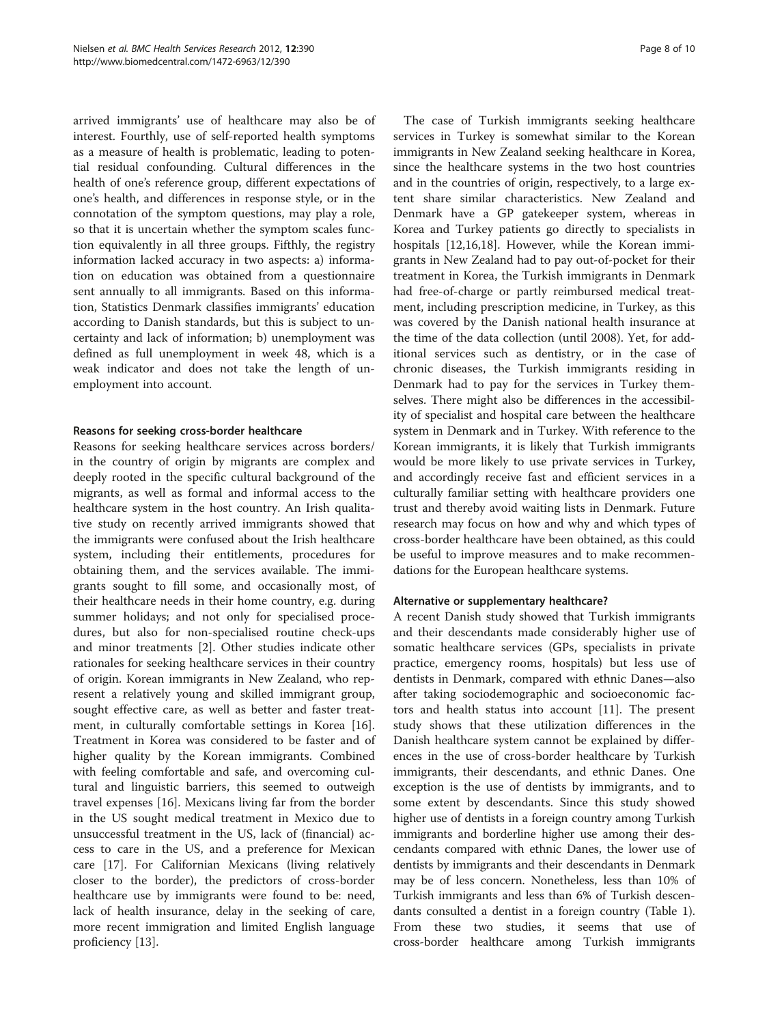arrived immigrants' use of healthcare may also be of interest. Fourthly, use of self-reported health symptoms as a measure of health is problematic, leading to potential residual confounding. Cultural differences in the health of one's reference group, different expectations of one's health, and differences in response style, or in the connotation of the symptom questions, may play a role, so that it is uncertain whether the symptom scales function equivalently in all three groups. Fifthly, the registry information lacked accuracy in two aspects: a) information on education was obtained from a questionnaire sent annually to all immigrants. Based on this information, Statistics Denmark classifies immigrants' education according to Danish standards, but this is subject to uncertainty and lack of information; b) unemployment was defined as full unemployment in week 48, which is a weak indicator and does not take the length of unemployment into account.

#### Reasons for seeking cross-border healthcare

Reasons for seeking healthcare services across borders/ in the country of origin by migrants are complex and deeply rooted in the specific cultural background of the migrants, as well as formal and informal access to the healthcare system in the host country. An Irish qualitative study on recently arrived immigrants showed that the immigrants were confused about the Irish healthcare system, including their entitlements, procedures for obtaining them, and the services available. The immigrants sought to fill some, and occasionally most, of their healthcare needs in their home country, e.g. during summer holidays; and not only for specialised procedures, but also for non-specialised routine check-ups and minor treatments [[2\]](#page-9-0). Other studies indicate other rationales for seeking healthcare services in their country of origin. Korean immigrants in New Zealand, who represent a relatively young and skilled immigrant group, sought effective care, as well as better and faster treatment, in culturally comfortable settings in Korea [\[16](#page-9-0)]. Treatment in Korea was considered to be faster and of higher quality by the Korean immigrants. Combined with feeling comfortable and safe, and overcoming cultural and linguistic barriers, this seemed to outweigh travel expenses [[16\]](#page-9-0). Mexicans living far from the border in the US sought medical treatment in Mexico due to unsuccessful treatment in the US, lack of (financial) access to care in the US, and a preference for Mexican care [\[17\]](#page-9-0). For Californian Mexicans (living relatively closer to the border), the predictors of cross-border healthcare use by immigrants were found to be: need, lack of health insurance, delay in the seeking of care, more recent immigration and limited English language proficiency [[13\]](#page-9-0).

The case of Turkish immigrants seeking healthcare services in Turkey is somewhat similar to the Korean immigrants in New Zealand seeking healthcare in Korea, since the healthcare systems in the two host countries and in the countries of origin, respectively, to a large extent share similar characteristics. New Zealand and Denmark have a GP gatekeeper system, whereas in Korea and Turkey patients go directly to specialists in hospitals [[12](#page-9-0),[16,18](#page-9-0)]. However, while the Korean immigrants in New Zealand had to pay out-of-pocket for their treatment in Korea, the Turkish immigrants in Denmark had free-of-charge or partly reimbursed medical treatment, including prescription medicine, in Turkey, as this was covered by the Danish national health insurance at the time of the data collection (until 2008). Yet, for additional services such as dentistry, or in the case of chronic diseases, the Turkish immigrants residing in Denmark had to pay for the services in Turkey themselves. There might also be differences in the accessibility of specialist and hospital care between the healthcare system in Denmark and in Turkey. With reference to the Korean immigrants, it is likely that Turkish immigrants would be more likely to use private services in Turkey, and accordingly receive fast and efficient services in a culturally familiar setting with healthcare providers one trust and thereby avoid waiting lists in Denmark. Future research may focus on how and why and which types of cross-border healthcare have been obtained, as this could be useful to improve measures and to make recommendations for the European healthcare systems.

#### Alternative or supplementary healthcare?

A recent Danish study showed that Turkish immigrants and their descendants made considerably higher use of somatic healthcare services (GPs, specialists in private practice, emergency rooms, hospitals) but less use of dentists in Denmark, compared with ethnic Danes—also after taking sociodemographic and socioeconomic factors and health status into account [[11\]](#page-9-0). The present study shows that these utilization differences in the Danish healthcare system cannot be explained by differences in the use of cross-border healthcare by Turkish immigrants, their descendants, and ethnic Danes. One exception is the use of dentists by immigrants, and to some extent by descendants. Since this study showed higher use of dentists in a foreign country among Turkish immigrants and borderline higher use among their descendants compared with ethnic Danes, the lower use of dentists by immigrants and their descendants in Denmark may be of less concern. Nonetheless, less than 10% of Turkish immigrants and less than 6% of Turkish descendants consulted a dentist in a foreign country (Table [1](#page-3-0)). From these two studies, it seems that use of cross-border healthcare among Turkish immigrants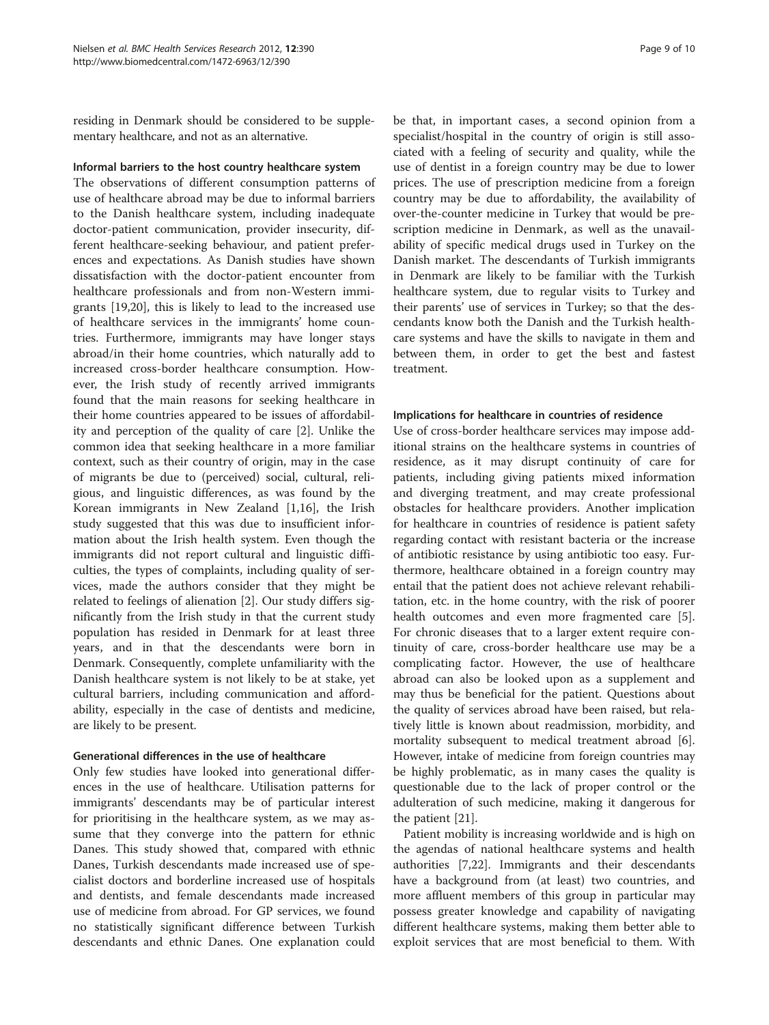residing in Denmark should be considered to be supplementary healthcare, and not as an alternative.

#### Informal barriers to the host country healthcare system

The observations of different consumption patterns of use of healthcare abroad may be due to informal barriers to the Danish healthcare system, including inadequate doctor-patient communication, provider insecurity, different healthcare-seeking behaviour, and patient preferences and expectations. As Danish studies have shown dissatisfaction with the doctor-patient encounter from healthcare professionals and from non-Western immigrants [[19,20\]](#page-9-0), this is likely to lead to the increased use of healthcare services in the immigrants' home countries. Furthermore, immigrants may have longer stays abroad/in their home countries, which naturally add to increased cross-border healthcare consumption. However, the Irish study of recently arrived immigrants found that the main reasons for seeking healthcare in their home countries appeared to be issues of affordability and perception of the quality of care [[2\]](#page-9-0). Unlike the common idea that seeking healthcare in a more familiar context, such as their country of origin, may in the case of migrants be due to (perceived) social, cultural, religious, and linguistic differences, as was found by the Korean immigrants in New Zealand [[1,16\]](#page-9-0), the Irish study suggested that this was due to insufficient information about the Irish health system. Even though the immigrants did not report cultural and linguistic difficulties, the types of complaints, including quality of services, made the authors consider that they might be related to feelings of alienation [[2\]](#page-9-0). Our study differs significantly from the Irish study in that the current study population has resided in Denmark for at least three years, and in that the descendants were born in Denmark. Consequently, complete unfamiliarity with the Danish healthcare system is not likely to be at stake, yet cultural barriers, including communication and affordability, especially in the case of dentists and medicine, are likely to be present.

#### Generational differences in the use of healthcare

Only few studies have looked into generational differences in the use of healthcare. Utilisation patterns for immigrants' descendants may be of particular interest for prioritising in the healthcare system, as we may assume that they converge into the pattern for ethnic Danes. This study showed that, compared with ethnic Danes, Turkish descendants made increased use of specialist doctors and borderline increased use of hospitals and dentists, and female descendants made increased use of medicine from abroad. For GP services, we found no statistically significant difference between Turkish descendants and ethnic Danes. One explanation could

be that, in important cases, a second opinion from a specialist/hospital in the country of origin is still associated with a feeling of security and quality, while the use of dentist in a foreign country may be due to lower prices. The use of prescription medicine from a foreign country may be due to affordability, the availability of over-the-counter medicine in Turkey that would be prescription medicine in Denmark, as well as the unavailability of specific medical drugs used in Turkey on the Danish market. The descendants of Turkish immigrants in Denmark are likely to be familiar with the Turkish healthcare system, due to regular visits to Turkey and their parents' use of services in Turkey; so that the descendants know both the Danish and the Turkish healthcare systems and have the skills to navigate in them and between them, in order to get the best and fastest treatment.

#### Implications for healthcare in countries of residence

Use of cross-border healthcare services may impose additional strains on the healthcare systems in countries of residence, as it may disrupt continuity of care for patients, including giving patients mixed information and diverging treatment, and may create professional obstacles for healthcare providers. Another implication for healthcare in countries of residence is patient safety regarding contact with resistant bacteria or the increase of antibiotic resistance by using antibiotic too easy. Furthermore, healthcare obtained in a foreign country may entail that the patient does not achieve relevant rehabilitation, etc. in the home country, with the risk of poorer health outcomes and even more fragmented care [\[5](#page-9-0)]. For chronic diseases that to a larger extent require continuity of care, cross-border healthcare use may be a complicating factor. However, the use of healthcare abroad can also be looked upon as a supplement and may thus be beneficial for the patient. Questions about the quality of services abroad have been raised, but relatively little is known about readmission, morbidity, and mortality subsequent to medical treatment abroad [\[6](#page-9-0)]. However, intake of medicine from foreign countries may be highly problematic, as in many cases the quality is questionable due to the lack of proper control or the adulteration of such medicine, making it dangerous for the patient [[21\]](#page-9-0).

Patient mobility is increasing worldwide and is high on the agendas of national healthcare systems and health authorities [\[7,22\]](#page-9-0). Immigrants and their descendants have a background from (at least) two countries, and more affluent members of this group in particular may possess greater knowledge and capability of navigating different healthcare systems, making them better able to exploit services that are most beneficial to them. With